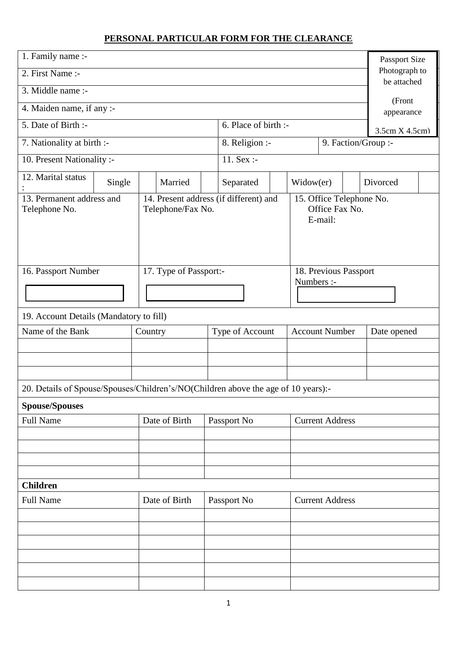## **PERSONAL PARTICULAR FORM FOR THE CLEARANCE**

| 1. Family name :-                                                                 |        |         |                        |             |                                                                                                 |            | Passport Size                |                        |  |                      |  |
|-----------------------------------------------------------------------------------|--------|---------|------------------------|-------------|-------------------------------------------------------------------------------------------------|------------|------------------------------|------------------------|--|----------------------|--|
| 2. First Name :-                                                                  |        |         |                        |             |                                                                                                 |            | Photograph to<br>be attached |                        |  |                      |  |
| 3. Middle name :-                                                                 |        |         |                        |             |                                                                                                 |            |                              |                        |  |                      |  |
| 4. Maiden name, if any :-                                                         |        |         |                        |             |                                                                                                 |            |                              |                        |  | (Front<br>appearance |  |
| 5. Date of Birth :-                                                               |        |         |                        |             | 6. Place of birth :-                                                                            |            |                              |                        |  | 3.5cm X 4.5cm        |  |
| 7. Nationality at birth :-                                                        |        |         |                        |             | 8. Religion :-                                                                                  |            |                              |                        |  | 9. Faction/Group :-  |  |
| 10. Present Nationality :-                                                        |        |         |                        |             | 11. $Sex : -$                                                                                   |            |                              |                        |  |                      |  |
| 12. Marital status                                                                | Single |         | Married                |             | Separated                                                                                       |            | Widow(er)                    |                        |  | Divorced             |  |
| 13. Permanent address and<br>Telephone No.                                        |        |         | Telephone/Fax No.      |             | 14. Present address (if different) and<br>15. Office Telephone No.<br>Office Fax No.<br>E-mail: |            |                              |                        |  |                      |  |
| 16. Passport Number                                                               |        |         | 17. Type of Passport:- |             |                                                                                                 |            |                              | 18. Previous Passport  |  |                      |  |
|                                                                                   |        |         |                        |             |                                                                                                 | Numbers :- |                              |                        |  |                      |  |
| 19. Account Details (Mandatory to fill)                                           |        |         |                        |             |                                                                                                 |            |                              |                        |  |                      |  |
| Name of the Bank                                                                  |        | Country |                        |             | Type of Account                                                                                 |            | <b>Account Number</b>        |                        |  | Date opened          |  |
|                                                                                   |        |         |                        |             |                                                                                                 |            |                              |                        |  |                      |  |
|                                                                                   |        |         |                        |             |                                                                                                 |            |                              |                        |  |                      |  |
| 20. Details of Spouse/Spouses/Children's/NO(Children above the age of 10 years):- |        |         |                        |             |                                                                                                 |            |                              |                        |  |                      |  |
|                                                                                   |        |         |                        |             |                                                                                                 |            |                              |                        |  |                      |  |
| <b>Spouse/Spouses</b><br><b>Full Name</b>                                         |        |         | Date of Birth          |             | Passport No                                                                                     |            |                              | <b>Current Address</b> |  |                      |  |
|                                                                                   |        |         |                        |             |                                                                                                 |            |                              |                        |  |                      |  |
|                                                                                   |        |         |                        |             |                                                                                                 |            |                              |                        |  |                      |  |
|                                                                                   |        |         |                        |             |                                                                                                 |            |                              |                        |  |                      |  |
| <b>Children</b>                                                                   |        |         |                        |             |                                                                                                 |            |                              |                        |  |                      |  |
| Date of Birth<br><b>Full Name</b>                                                 |        |         |                        | Passport No |                                                                                                 |            | <b>Current Address</b>       |                        |  |                      |  |
|                                                                                   |        |         |                        |             |                                                                                                 |            |                              |                        |  |                      |  |
|                                                                                   |        |         |                        |             |                                                                                                 |            |                              |                        |  |                      |  |
|                                                                                   |        |         |                        |             |                                                                                                 |            |                              |                        |  |                      |  |
|                                                                                   |        |         |                        |             |                                                                                                 |            |                              |                        |  |                      |  |
|                                                                                   |        |         |                        |             |                                                                                                 |            |                              |                        |  |                      |  |
|                                                                                   |        |         |                        |             |                                                                                                 |            |                              |                        |  |                      |  |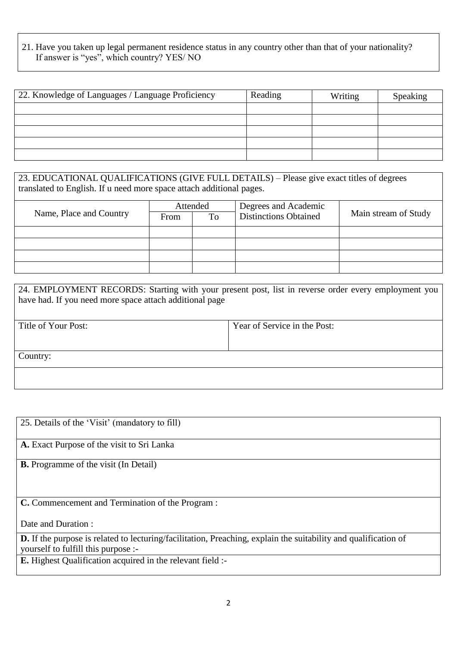## 21. Have you taken up legal permanent residence status in any country other than that of your nationality? If answer is "yes", which country? YES/ NO

| 22. Knowledge of Languages / Language Proficiency | Reading | Writing | Speaking |
|---------------------------------------------------|---------|---------|----------|
|                                                   |         |         |          |
|                                                   |         |         |          |
|                                                   |         |         |          |
|                                                   |         |         |          |
|                                                   |         |         |          |

23. EDUCATIONAL QUALIFICATIONS (GIVE FULL DETAILS) – Please give exact titles of degrees translated to English. If u need more space attach additional pages.

|                         | Attended |    | Degrees and Academic         |                      |  |
|-------------------------|----------|----|------------------------------|----------------------|--|
| Name, Place and Country | From     | To | <b>Distinctions Obtained</b> | Main stream of Study |  |
|                         |          |    |                              |                      |  |
|                         |          |    |                              |                      |  |
|                         |          |    |                              |                      |  |
|                         |          |    |                              |                      |  |

| 24. EMPLOYMENT RECORDS: Starting with your present post, list in reverse order every employment you<br>have had. If you need more space attach additional page |                              |  |  |  |  |
|----------------------------------------------------------------------------------------------------------------------------------------------------------------|------------------------------|--|--|--|--|
| Title of Your Post:                                                                                                                                            | Year of Service in the Post: |  |  |  |  |
|                                                                                                                                                                |                              |  |  |  |  |
|                                                                                                                                                                |                              |  |  |  |  |
| Country:                                                                                                                                                       |                              |  |  |  |  |
|                                                                                                                                                                |                              |  |  |  |  |
|                                                                                                                                                                |                              |  |  |  |  |

| 25. Details of the 'Visit' (mandatory to fill)                                                                                                                |
|---------------------------------------------------------------------------------------------------------------------------------------------------------------|
| A. Exact Purpose of the visit to Sri Lanka                                                                                                                    |
| <b>B.</b> Programme of the visit (In Detail)                                                                                                                  |
| <b>C.</b> Commencement and Termination of the Program :                                                                                                       |
| Date and Duration:                                                                                                                                            |
| <b>D.</b> If the purpose is related to lecturing/facilitation, Preaching, explain the suitability and qualification of<br>yourself to fulfill this purpose :- |
| E. Highest Qualification acquired in the relevant field :-                                                                                                    |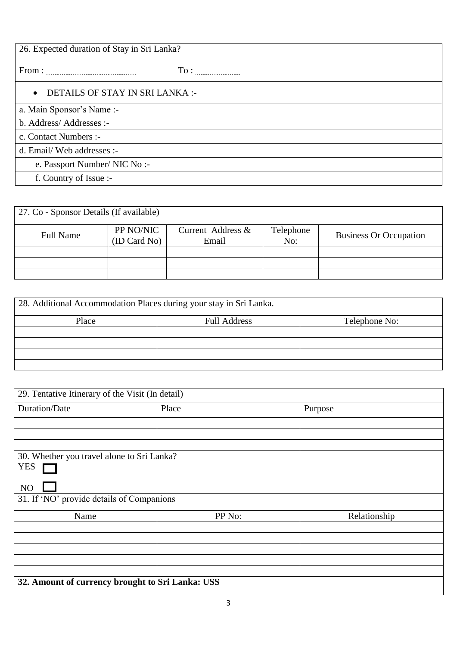| 26. Expected duration of Stay in Sri Lanka?  |  |  |  |  |
|----------------------------------------------|--|--|--|--|
|                                              |  |  |  |  |
| DETAILS OF STAY IN SRI LANKA :-<br>$\bullet$ |  |  |  |  |
| a. Main Sponsor's Name:-                     |  |  |  |  |
| b. Address/Addresses :-                      |  |  |  |  |
| c. Contact Numbers :-                        |  |  |  |  |
| d. Email/Web addresses :-                    |  |  |  |  |
| e. Passport Number/ NIC No :-                |  |  |  |  |
| f. Country of Issue :-                       |  |  |  |  |

| 27. Co - Sponsor Details (If available) |                       |                   |           |                               |  |  |  |
|-----------------------------------------|-----------------------|-------------------|-----------|-------------------------------|--|--|--|
|                                         | PP NO/NIC             | Current Address & | Telephone |                               |  |  |  |
| <b>Full Name</b>                        | (ID Card No)<br>Email |                   | No:       | <b>Business Or Occupation</b> |  |  |  |
|                                         |                       |                   |           |                               |  |  |  |
|                                         |                       |                   |           |                               |  |  |  |
|                                         |                       |                   |           |                               |  |  |  |

| 28. Additional Accommodation Places during your stay in Sri Lanka. |                     |               |  |  |  |  |  |
|--------------------------------------------------------------------|---------------------|---------------|--|--|--|--|--|
| Place                                                              | <b>Full Address</b> | Telephone No: |  |  |  |  |  |
|                                                                    |                     |               |  |  |  |  |  |
|                                                                    |                     |               |  |  |  |  |  |
|                                                                    |                     |               |  |  |  |  |  |
|                                                                    |                     |               |  |  |  |  |  |

| 29. Tentative Itinerary of the Visit (In detail) |                                                  |              |  |  |  |  |  |
|--------------------------------------------------|--------------------------------------------------|--------------|--|--|--|--|--|
| Duration/Date                                    | Place                                            | Purpose      |  |  |  |  |  |
|                                                  |                                                  |              |  |  |  |  |  |
|                                                  |                                                  |              |  |  |  |  |  |
|                                                  |                                                  |              |  |  |  |  |  |
| 30. Whether you travel alone to Sri Lanka?       |                                                  |              |  |  |  |  |  |
| <b>YES</b>                                       |                                                  |              |  |  |  |  |  |
| NO                                               |                                                  |              |  |  |  |  |  |
| 31. If 'NO' provide details of Companions        |                                                  |              |  |  |  |  |  |
| Name                                             | PP No:                                           | Relationship |  |  |  |  |  |
|                                                  |                                                  |              |  |  |  |  |  |
|                                                  |                                                  |              |  |  |  |  |  |
|                                                  |                                                  |              |  |  |  |  |  |
|                                                  |                                                  |              |  |  |  |  |  |
|                                                  |                                                  |              |  |  |  |  |  |
|                                                  | 32. Amount of currency brought to Sri Lanka: USS |              |  |  |  |  |  |